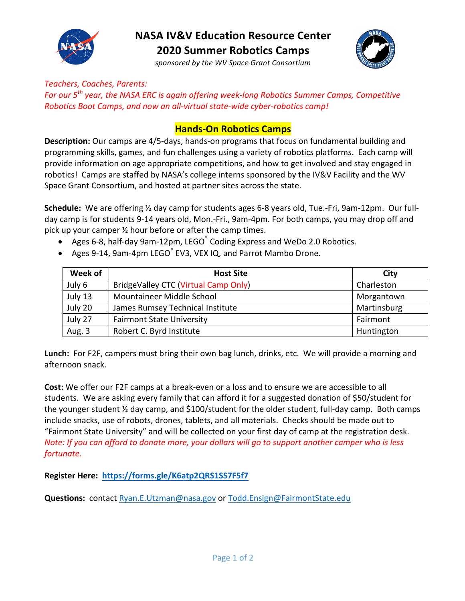

## **NASA IV&V Education Resource Center 2020 Summer Robotics Camps**

*sponsored by the WV Space Grant Consortium*



*Teachers, Coaches, Parents: For* our 5<sup>th</sup> year, the NASA ERC is again offering week-long Robotics Summer Camps, Competitive *Robotics Boot Camps, and now an all-virtual state-wide cyber-robotics camp!* 

### **Hands-On Robotics Camps**

**Description:** Our camps are 4/5-days, hands-on programs that focus on fundamental building and programming skills, games, and fun challenges using a variety of robotics platforms. Each camp will provide information on age appropriate competitions, and how to get involved and stay engaged in robotics! Camps are staffed by NASA's college interns sponsored by the IV&V Facility and the WV Space Grant Consortium, and hosted at partner sites across the state.

Schedule: We are offering 1/2 day camp for students ages 6-8 years old, Tue.-Fri, 9am-12pm. Our fullday camp is for students 9-14 years old, Mon.-Fri., 9am-4pm. For both camps, you may drop off and pick up your camper  $\frac{1}{2}$  hour before or after the camp times.

- Ages 6-8, half-day 9am-12pm, LEGO<sup>®</sup> Coding Express and WeDo 2.0 Robotics.
- Ages 9-14, 9am-4pm LEGO® EV3, VEX IQ, and Parrot Mambo Drone.

| Week of | <b>Host Site</b>                     | City        |
|---------|--------------------------------------|-------------|
| July 6  | BridgeValley CTC (Virtual Camp Only) | Charleston  |
| July 13 | Mountaineer Middle School            | Morgantown  |
| July 20 | James Rumsey Technical Institute     | Martinsburg |
| July 27 | <b>Fairmont State University</b>     | Fairmont    |
| Aug. 3  | Robert C. Byrd Institute             | Huntington  |

**Lunch:** For F2F, campers must bring their own bag lunch, drinks, etc. We will provide a morning and afternoon snack. 

**Cost:** We offer our F2F camps at a break-even or a loss and to ensure we are accessible to all students. We are asking every family that can afford it for a suggested donation of \$50/student for the younger student  $\frac{1}{2}$  day camp, and \$100/student for the older student, full-day camp. Both camps include snacks, use of robots, drones, tablets, and all materials. Checks should be made out to "Fairmont State University" and will be collected on your first day of camp at the registration desk. *Note: If you can afford to donate more, your dollars will go to support another camper who is less fortunate.* 

**Register Here: https://forms.gle/K6atp2QRS1SS7F5f7**

**Questions:** contact Ryan.E.Utzman@nasa.gov or Todd.Ensign@FairmontState.edu